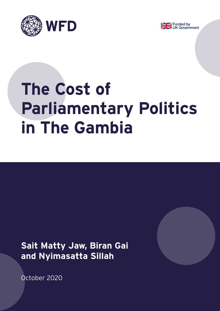



# **The Cost of Parliamentary Politics in The Gambia**

**Sait Matty Jaw, Biran Gai and Nyimasatta Sillah**



October 2020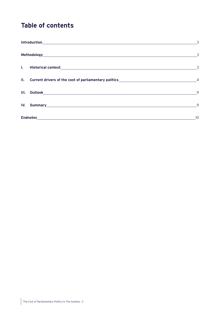# **Table of contents**

|                                                                                                                                                                                                                                | $\overline{\phantom{a}}$ |  |  |
|--------------------------------------------------------------------------------------------------------------------------------------------------------------------------------------------------------------------------------|--------------------------|--|--|
|                                                                                                                                                                                                                                |                          |  |  |
|                                                                                                                                                                                                                                |                          |  |  |
|                                                                                                                                                                                                                                | $\overline{9}$           |  |  |
| IV. Summary Andrew Management and the contract of the contract of the contract of the contract of the contract of the contract of the contract of the contract of the contract of the contract of the contract of the contract | 9                        |  |  |
|                                                                                                                                                                                                                                | 10                       |  |  |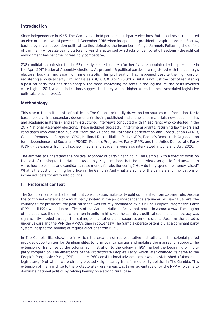# <span id="page-2-0"></span>**Introduction**

Since independence in 1965, The Gambia has held periodic multi-party elections. But it had never registered an electoral turnover of power until December 2016 when independent presidential aspirant Adama Barrow, backed by seven opposition political parties, defeated the incumbent, Yahya Jammeh. Following the defeat of Jammeh – whose 22-year dictatorship was characterised by attacks on democratic freedoms - the political environment has become increasingly competitive.

238 candidates contested for the 53 directly elected seats – a further five are appointed by the president - in the April 2017 National Assembly elections. At present, 16 political parties are registered with the country's electoral body, an increase from nine in 2016. This proliferation has happened despite the high cost of registering a political party: 1 million Dalasi (D1,000,000 or \$20,000). But it is not just the cost of registering a political party that has risen sharply. For those contesting for seats in the legislature, the costs involved were high in 2017, and all indications suggest that they will be higher when the next scheduled legislative polls take place in 2022.

# **Methodology**

This research into the costs of politics in The Gambia primarily draws on two sources of information. Deskbased research into secondary documents (including published and unpublished materials, newspaper articles and academic materials), and semi-structured interviews conducted with 14 aspirants who contested in the 2017 National Assembly elections. These included successful first-time aspirants, returning lawmakers and candidates who contested but lost, from the Alliance for Patriotic Reorientation and Construction (APRC), Gambia Democratic Congress (GDC), National Reconciliation Party (NRP), People's Democratic Organization for Independence and Socialism (PDOIS), People's Progressive Party (PPP), and the United Democratic Party (UDP). Five experts from civil society, media, and academia were also interviewed in June and July 2020.

The aim was to understand the political economy of party financing in The Gambia with a specific focus on the cost of running for the National Assembly. Key questions that the interviews sought to find answers to were: how do parties and candidates raise money for electioneering? How do they spend the money raised? What is the cost of running for office in The Gambia? And what are some of the barriers and implications of increased costs for entry into politics?

# **I. Historical context**

The Gambia maintained, albeit without consolidation, multi-party politics inherited from colonial rule. Despite the continued existence of a multi-party system in the post-independence era under Sir Dawda Jawara, the country's first president, the political scene was entirely dominated by his ruling People's Progressive Party (PPP) until 1994 when junior officers of the Gambia National Army took power in a *coup d'etat*. The staging of the coup was the moment when men in uniform hijacked the country's political scene and democracy was significantly eroded through the stifling of institutions and suppression of dissent.<sup>1</sup> Just like the decades under Jawara and the PPP, the APRC's time in power saw The Gambia operate ostensibly as a dominant party system, despite the holding of regular elections from 1996.

In The Gambia, like elsewhere in Africa, the creation of representative institutions in the colonial period provided opportunities for Gambian elites to form political parties and mobilise the masses for support. The extension of franchise by the colonial administration to the colony in 1951 marked the beginning of multiparty competition. The emergence of the Protectorate People's Party, which later changed its name to the People's Progressive Party (PPP), and the 1960 constitutional advancement - which established a 34-member legislature, 19 of whom were directly elected - significantly transformed party politics in The Gambia. This extension of the franchise to the protectorate (rural) areas was taken advantage of by the PPP who came to dominate national politics by relying heavily on a strong rural base.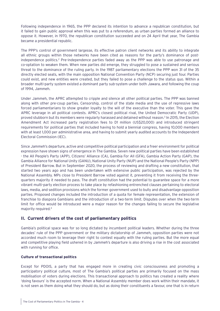<span id="page-3-0"></span>Following independence in 1965, the PPP declared its intention to advance a republican constitution, but it failed to gain public approval when this was put to a referendum, as urban parties formed an alliance to oppose it. However, in 1970, the republican constitution succeeded and on 24 April that year, The Gambia became a presidential republic.

The PPP's control of government largesse, its effective patron client networks and its ability to integrate all ethnic groups within those networks have been cited as reasons for the party's dominance of postindependence politics.2 Pre-independence parties faded away as the PPP was able to use patronage and co-optation to weaken them. When new parties did emerge, they struggled to pose a sustained and serious threat to the dominance of the ruling party. In the 1987 parliamentary elections the PPP won 31 of the 35 directly elected seats, with the main opposition National Convention Party (NCP) securing just four. Parties could exist, and new entities were created, but they failed to pose a challenge to the status quo. Within a broader multi-party system existed a dominant party sub-system under both Jawara, and following the coup of 1994, Jammeh.

Under Jammeh, the APRC attempted to cripple and silence all other political parties. The PPP was banned along with other pre-coup parties. Censorship, control of the state media and the use of repressive laws forced parliamentarians to show greater loyalty to the will of the executive than the voter. This gave the APRC leverage in all political contests. APRC's closest political rival, the United Democratic Party (UDP), proved stubborn but its members were regularly harassed and detained without reason.<sup>3</sup> In 2015, the Election Amendment Act increased party registration fees to D1 million (US\$20,000) and introduced stringent requirements for political parties that included having to hold a biennial congress, having 10,000 members with at least 1,000 per administrative area, and having to submit yearly audited accounts to the Independent Electoral Commission (IEC).

Since Jammeh's departure, active and competitive political participation and a freer environment for political expression have shown signs of emergence in The Gambia. Seven new political parties have been established - the All People's Party (APP), Citizens' Alliance (CA), Gambia For All (GFA), Gambia Action Party (GAP), the Gambia Alliance for National Unity (GANU), National Unity Party (NUP) and the National People's Party (NPP) of President Barrow. But in September 2020, the process of reviewing and drafting a new constitution, that started two years ago and has been undertaken with extensive public participation, was rejected by the National Assembly. MPs close to President Barrow voted against it, preventing it from receiving the threequarters majority it needed to pass. The draft constitution had the potential to guarantee space for a more vibrant multi-party election process to take place by refashioning entrenched clauses pertaining to electoral laws, media, and sedition provisions which the former government used to bully and disadvantage opposition parties. Proposed changes included the introduction of a quota for female representation, the extension of franchise to diaspora Gambians and the introduction of a two-term limit. Disputes over when the two-term limit for office would be introduced were a major reason for the changes failing to secure the legislative majority required.4

# **II. Current drivers of the cost of parliamentary politics**

Gambia's political space was for so long dictated by incumbent political leaders. Whether during the three decades' rule of the PPP government or the military dictatorship of Jammeh, opposition parties were not accorded much room to leverage their right to contest equally with the ruling parties. But the more equal and competitive playing field ushered in by Jammeh's departure is also driving a rise in the cost associated with running for office.

#### **Culture of transactional politics**

Except for PDOIS, a party that has engaged more in creating civic consciousness and promoting a participatory political culture, most of The Gambia's political parties are primarily focused on the mass mobilisation of voters during elections. This transactional approach to politics has created a reality where 'doing favours' is the accepted norm. When a National Assembly member does work within their mandate, it is not seen as them doing what they should do, but as doing their constituents a favour, one that is in return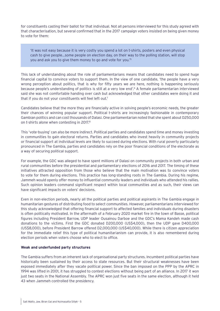for constituents casting their ballot for that individual. Not all persons interviewed for this study agreed with that characterisation, but several confirmed that in the 2017 campaign voters insisted on being given money to vote for them:

'It was not easy because it is very costly you spend a lot on t-shirts, posters and even physical cash to give people…some people on election day, on their way to the polling station, will stop you and ask you to give them money to go and vote for you.'5

This lack of understanding about the role of parliamentarians means that candidates need to spend huge financial capital to convince voters to support them. In the view of one candidate, 'the people have a very wrong perception about politics, that is why for fifty years we are here, nothing is happening seriously because people's understanding of politics is still at a very low end'.6 A female parliamentarian interviewed said she was not comfortable handing over cash but acknowledged that other candidates were doing it and that if you do not your constituents will feel left out.7

Candidates believe that the more they are financially active in solving people's economic needs, the greater their chances of winning popular support. Political t-shirts are increasingly fashionable in contemporary Gambian politics and can cost thousands of Dalasi. One parliamentarian noted that she spent about D250,000 on t-shirts alone when contesting in 2017.8

This 'vote-buying' can also be more indirect. Political parties and candidates spend time and money investing in communities to gain electoral returns. Parties and candidates who invest heavily in community projects or financial support at individual levels are likely to succeed during elections. With rural poverty particularly pronounced in The Gambia, parties and candidates rely on the poor financial conditions of the electorate as a way of securing political support.

For example, the GDC was alleged to have spent millions of Dalasi on community projects in both urban and rural communities before the presidential and parliamentary elections of 2016 and 2017. The timing of these initiatives attracted opposition from those who believe that the main motivation was to convince voters to vote for them during elections. This practice has long-standing roots in The Gambia. During his regime, Jammeh would openly offer money to influential community leaders and individuals who attended his rallies. Such opinion leaders command significant respect within local communities and as such, their views can have significant impacts on voters' decisions.

Even in non-election periods, nearly all the political parties and political aspirants in The Gambia engage in humanitarian gestures of distributing food to select communities. However, parliamentarians interviewed for this study acknowledged that offering financial support to affected families and individuals during disasters is often politically motivated. In the aftermath of a February 2020 market fire in the town of Basse, political figures including President Barrow, UDP leader Ousainou Darboe and the GDC's Mama Kandeh made cash donations to the victims. First the GDC donated D200,000 (US\$4,000), then the UDP gave D400,000 (US\$8,000), before President Barrow offered D2,000,000 (US\$40,000). While there is citizen appreciation for the immediate relief this type of political humanitarianism can provide, it is also remembered during election periods when voters choose who to elect to office.

#### **Weak and underfunded party structures**

The Gambia suffers from an inherent lack of organisational party structures. Incumbent political parties have historically been sustained by their access to state resources. But their structural weaknesses have been exposed immediately after they vacate political power. Since the ban imposed on the PPP by the APRC in 1994 was lifted in 2001, it has struggled to contest elections without being part of an alliance. In 2017 it won just two seats in the National Assembly. The APRC won just five seats in the same election, although it held 43 when Jammeh controlled the presidency.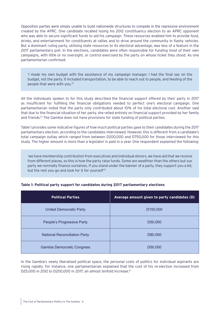Opposition parties were simply unable to build nationwide structures to compete in the repressive environment created by the APRC. One candidate recalled losing his 2012 constituency election to an APRC opponent who was able to secure significant funds to aid his campaign. These resources enabled him to provide food, drinks, and entertainment for constituents at rallies and to drive around the community in flashy vehicles. But a dominant ruling party, utilising state resources to its electoral advantage, was less of a feature in the 2017 parliamentary poll. In the elections, candidates were often responsible for funding most of their own campaigns, with little or no oversight, or control exercised by the party on whose ticket they stood. As one parliamentarian confirmed:

'I made my own budget with the assistance of my campaign manager. I had the final say on the budget, not the party. It included transportation, to be able to reach out to people, and feeding of the people that were with you.'9

All the individuals spoken to for this study described the financial support offered by their party in 2017 as insufficient for fulfilling the financial obligations needed to perfect one's electoral campaign. One parliamentarian noted that the party only contributed about 10% of his total electoral cost. Another said that due to the financial situation of her party, she relied entirely on financial support provided by her family and friends.<sup>10</sup> The Gambia does not have provisions for state funding of political parties.

Table 1 provides some indicative figures of how much political parties gave to their candidates during the 2017 parliamentary election, according to the candidates interviewed. However, this is different from a candidate's total campaign outlay which ranged from between D200,000 and D750,000 for those interviewed for this study. The higher amount is more than a legislator is paid in a year. One respondent explained the following:

'we have membership contribution from executives and individual donors, we have aid that we receive from different places, so this is how the party raise funds. Some are wealthier than the others but our party we normally finance ourselves. If you stand under the banner of a party, they support you a bit, but the rest you go and look for it for yourself<sup>'11</sup>

| Table 1: Political party support for candidates during 2017 parliamentary elections |  |  |  |
|-------------------------------------------------------------------------------------|--|--|--|
|                                                                                     |  |  |  |

| <b>Political Parties</b>             | Average amount given to party candidates (D) |
|--------------------------------------|----------------------------------------------|
| <b>United Democratic Party</b>       | D <sub>150,000</sub>                         |
| People's Progressive Party           | D <sub>50</sub> ,000                         |
| <b>National Reconciliation Party</b> | D80,000                                      |
| <b>Gambia Democratic Congress</b>    | D <sub>50</sub> ,000                         |

In the Gambia's newly liberalised political space, the personal costs of politics for individual aspirants are rising rapidly. For instance, one parliamentarian explained that the cost of his re-election increased from D25,000 in 2012 to D200,000 in 2017; an almost tenfold increase.<sup>12</sup>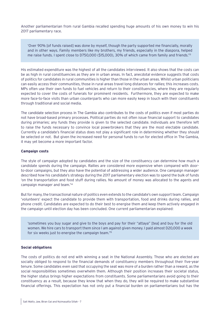Another parliamentarian from rural Gambia recalled spending huge amounts of his own money to win his 2017 parliamentary race.

'Over 90% [of funds raised] was done by myself, though the party supported me financially, morally and in other ways. Family members like my brothers, my friends, especially in the diaspora, helped me raise funds. I spent close to D750,000 (\$15,000), 30% of which came from family and friends.<sup>'13</sup>

His estimated expenditure was the highest of all the candidates interviewed. It also shows that the costs can be as high in rural constituencies as they are in urban areas. In fact, anecdotal evidence suggests that costs of politics for candidates in rural communities is higher than those in the urban areas. Whilst urban politicians can easily access their communities, those in rural areas travel long distances for rallies; this increases costs. MPs often use their own funds to fuel vehicles and return to their constituencies, where they are regularly expected to cover the costs of funerals for prominent residents. Furthermore, they are expected to make more face-to-face visits than urban counterparts who can more easily keep in touch with their constituents through traditional and social media.

The candidate selection process in The Gambia also contributes to the costs of politics even if most parties do not have broad-based primary processes. Political parties do not often issue financial support to candidates during primaries; any funds they provide is given to the selected candidate. Individuals are therefore left to raise the funds necessary to convince local powerbrokers that they are the most electable candidate. Currently a candidate's financial status does not play a significant role in determining whether they should be selected or not. But given the increased need for personal funds to run for elected office in The Gambia, it may yet become a more important factor.

#### **Campaign costs**

The style of campaign adopted by candidates and the size of the constituency can determine how much a candidate spends during the campaign. Rallies are considered more expensive when compared with doorto-door campaigns, but they also have the potential of addressing a wider audience. One campaign manager described how his candidate's strategy during the 2017 parliamentary election was to spend the bulk of funds 'on the transportation and food stuff during rallies. No amount of money was allocated to the agents and campaign manager and team.'14

But for many, the transactional nature of politics even extends to the candidate's own support team. Campaign 'volunteers' expect the candidate to provide them with transportation, food and drinks during rallies, and phone credit. Candidates are expected to do their best to energise them and keep them actively engaged in the campaign until election day has been concluded. One current parliamentarian explained:

'sometimes you buy sugar and give to the boys and pay for their "attaya" [tea] and buy for the old women. We hire cars to transport them since I am against given money. I paid almost D20,000 a week for six weeks just to energise the campaign team.'15

#### **Social obligations**

The costs of politics do not end with winning a seat in the National Assembly. Those who are elected are socially obliged to respond to the financial demands of constituency members throughout their five-year tenure. Some candidates even said that occupying the seat was more of a burden rather than a reward, as the social responsibilities sometimes overwhelm them. Although their position increases their societal status, the higher status brings higher expectations from constituents. Some parliamentarians avoid going to their constituency as a result, because they know that when they do, they will be required to make substantive financial offerings. This expectation has not only put a financial burden on parliamentarians but has the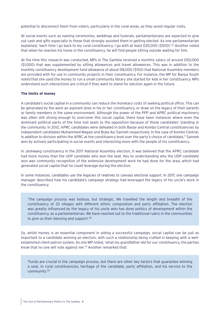potential to disconnect them from voters, particularly in the rural areas, as they avoid regular visits.

At social events such as naming ceremonies, weddings and funerals, parliamentarians are expected to give out cash and gifts especially to those that strongly assisted them in getting elected. As one parliamentarian explained, 'each time I go back to my rural constituency, I go with at least D25,000 (\$500)'.16 Another noted that when he reaches his home in the constituency, he will find people sitting outside waiting for him.

At the time this research was conducted, MPs in The Gambia received a monthly salary of around D50,000 (\$1,000) that was supplemented by sitting allowances and travel allowances. This was in addition to the monthly constituency development fund allowance of about D8,000 (\$150) that National Assembly members are provided with for use in community projects in their constituency. For instance, the MP for Banjul South noted that she used the money to run a small community library she started for kids in her constituency. MPs understand such interactions are critical if they want to stand for election again in the future.

#### **The limits of money**

A candidate's social capital in a community can reduce the monetary costs of seeking political office. This can be generated by the work an aspirant does in his or her constituency, or draw on the legacy of their parents or family members in the same environment. Although the power of the PPP and APRC political machinery was often still strong enough to overcome this social capital, there have been instances where even the dominant political party of the time lost seats to the opposition because of those candidates' standing in the community. In 2012, APRC candidates were defeated in both Basse and Kombo Central constituencies by independent candidates Muhammed Magasi and Buba Ayi Sanneh respectively. In the case of Kombo Central, in addition to division within the APRC at the constituency level over the party's choice of candidate,<sup> $17$ </sup> Sanneh won by actively participating in social events and interacting more with the people of his constituency.

In Jeshwang constituency in the 2017 National Assembly election, it was believed that the APRC candidate had more money than the UDP candidate who won the seat. Key to understanding why the UDP candidate won was community recognition of the extensive development work he had done for the area, which had generated social capital that he could leverage during the election.

In some instances, candidates use the legacies of relatives to canvass electoral support. In 2017, one campaign manager described how his candidate's campaign strategy had leveraged the legacy of his uncle's work in the constituency.

'The campaign process was tedious, but strategic. We travelled the length and breadth of the constituency of 33 villages with different ethnic composition and party affiliation. The election was greatly influenced by the legacy of his uncle who has done politics of development within the constituency, as a parliamentarian. We have reached out to the traditional rulers in the communities to give us their blessing and support.<sup>18</sup>

So, whilst money is an essential component in aiding a successful campaign, social capital can be just as important to a candidate winning an election, with such a relationship being crafted in keeping with a wellestablished client-patron system. As one MP noted, 'what my grandfather did for our constituency, the parties know that no one will vote against me'.<sup>19</sup> Another remarked that:

'Funds are crucial in the campaign process, but there are other key factors that guarantee winning a seat, in rural constituencies, heritage of the candidate, party affiliation, and his service to the community.'20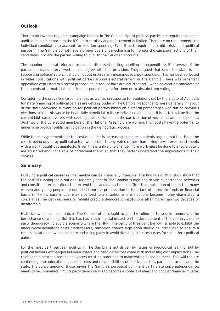# <span id="page-8-0"></span>**Outlook**

There is no law that regulates campaign finance in The Gambia. Whilst political parties are required to submit audited financial reports to the IEC, both scrutiny and enforcement is limited. There are no requirements for individual candidates to account for election spending. Even if such requirements did exist, most political parties in The Gambia do not have a proper oversight mechanism to monitor the campaign activity of their candidates, nor are the parties willing to publish their audited accounts.

The ongoing electoral reform process has discussed putting a ceiling on expenditure. But several of the parliamentarians interviewed did not agree with this provision. They argued that since the state is not supporting political actors, it should not put in place any measures to check spending. This has been reflected in wider consultations with political parties around electoral reform in The Gambia. There was vehement opposition expressed to a recent proposal to introduce laws around 'treating' - when an election candidate or their agents offer material incentives for people to vote for them or to abstain from voting.

Considering the prevailing circumstances as well as in response to regulations set by the Electoral Act, calls for state financing of political parties are getting louder in The Gambia. Respondents were generally in favour of the state providing subvention for political parties based on electoral percentages won during previous elections. Whilst this would be financially beneficial to these individual candidates, it is certainly true that the current high costs involved with seeking public office inhibit the participation of youth and women in politics. Just two of the 53 elected members of the National Assembly are women. High costs have the potential to undermine broader public participation in the democratic process.

While there is agreement that the cost of politics is increasing, some respondents argued that the rise in the cost is being driven by political actors who prefer to buy votes rather than trying to win over constituents with a well thought-out manifesto. Given this is unlikely to change, more work must be done to ensure voters are educated about the role of parliamentarians, so that they better understand the implications of their choices.

## **Summary**

Pursuing a political career in The Gambia can be financially intensive. The findings of this study show that the cost of running for a National Assembly seat in The Gambia is high and driven by patronage networks and constituent expectations that extend to a candidate's time in office. The implication of this is that many women and young people are excluded from the process, due to their lack of access to funds or financial backers. The increase in cost may also lead to a situation where elections become money-dominated; a concern as The Gambia seeks to rebuild credible democratic institutions after more than two decades of dictatorship.

Historically, political aspirants in The Gambia often sought to join the ruling party to give themselves the best chance of winning. But this has had a detrimental impact on the development of the country's multiparty democracy. To avoid a scenario where the NPP – the party of President Barrow - is able to exhibit the unequivocal advantage of its predecessors, campaign finance legislation should be introduced to ensure a clear separation between the state and ruling party to avoid diverting state resources for the latter's political gains.

For the most part, partisan politics in The Gambia is not driven by issues or ideological leaning, but by political favours exchanged between voters and candidates that come with increasing cost implications. The relationship between parties and voters must be redefined to make voting based on merit. This will require continuing civic education about the roles and responsibilities of political parties, parliamentarians and the state. The convergence of these, given The Gambia's perpetual dominant party state since independence, needs to be unravelled, if multi-party democracy is to become a contest of ideas and not just financial muscle.